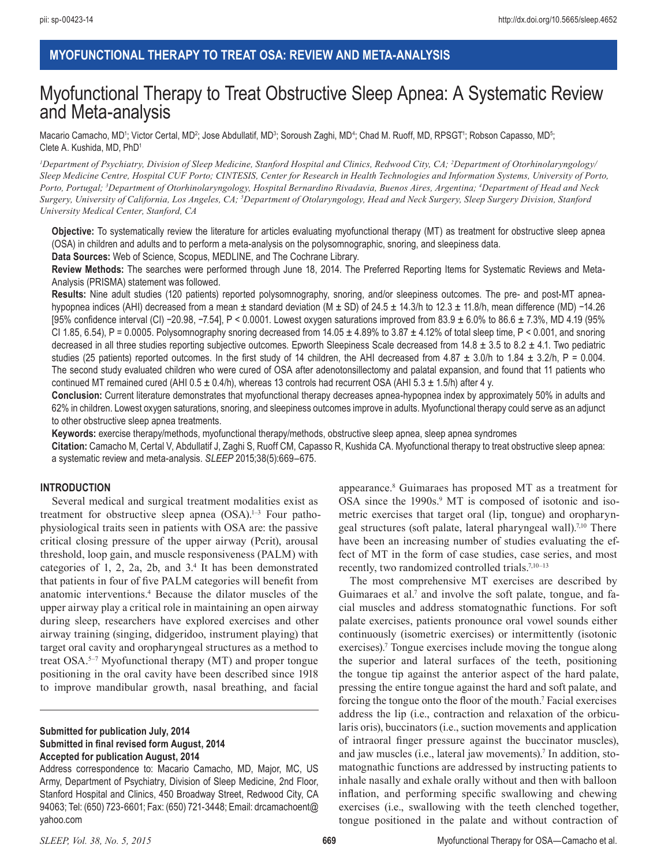# **MYOFUNCTIONAL THERAPY TO TREAT OSA: REVIEW AND META-ANALYSIS**

# Myofunctional Therapy to Treat Obstructive Sleep Apnea: A Systematic Review and Meta-analysis

Macario Camacho, MD<sup>1</sup>; Victor Certal, MD<sup>2</sup>; Jose Abdullatif, MD<sup>3</sup>; Soroush Zaghi, MD<sup>4</sup>; Chad M. Ruoff, MD, RPSGT<sup>1</sup>; Robson Capasso, MD<sup>5</sup>; Clete A. Kushida, MD, PhD1

*1 Department of Psychiatry, Division of Sleep Medicine, Stanford Hospital and Clinics, Redwood City, CA; 2 Department of Otorhinolaryngology/ Sleep Medicine Centre, Hospital CUF Porto; CINTESIS, Center for Research in Health Technologies and Information Systems, University of Porto, Porto, Portugal; 3 Department of Otorhinolaryngology, Hospital Bernardino Rivadavia, Buenos Aires, Argentina; 4 Department of Head and Neck Surgery, University of California, Los Angeles, CA; 5 Department of Otolaryngology, Head and Neck Surgery, Sleep Surgery Division, Stanford University Medical Center, Stanford, CA*

**Objective:** To systematically review the literature for articles evaluating myofunctional therapy (MT) as treatment for obstructive sleep apnea (OSA) in children and adults and to perform a meta-analysis on the polysomnographic, snoring, and sleepiness data.

**Data Sources:** Web of Science, Scopus, MEDLINE, and The Cochrane Library.

**Review Methods:** The searches were performed through June 18, 2014. The Preferred Reporting Items for Systematic Reviews and Meta-Analysis (PRISMA) statement was followed.

**Results:** Nine adult studies (120 patients) reported polysomnography, snoring, and/or sleepiness outcomes. The pre- and post-MT apneahypopnea indices (AHI) decreased from a mean ± standard deviation (M ± SD) of 24.5 ± 14.3/h to 12.3 ± 11.8/h, mean difference (MD) −14.26 [95% confidence interval (CI) −20.98, −7.54], P < 0.0001. Lowest oxygen saturations improved from 83.9 ± 6.0% to 86.6 ± 7.3%, MD 4.19 (95% CI 1.85, 6.54), P = 0.0005. Polysomnography snoring decreased from  $14.05 \pm 4.89\%$  to  $3.87 \pm 4.12\%$  of total sleep time, P < 0.001, and snoring decreased in all three studies reporting subjective outcomes. Epworth Sleepiness Scale decreased from  $14.8 \pm 3.5$  to  $8.2 \pm 4.1$ . Two pediatric studies (25 patients) reported outcomes. In the first study of 14 children, the AHI decreased from  $4.87 \pm 3.0$ /h to  $1.84 \pm 3.2$ /h, P = 0.004. The second study evaluated children who were cured of OSA after adenotonsillectomy and palatal expansion, and found that 11 patients who continued MT remained cured (AHI  $0.5 \pm 0.4$ /h), whereas 13 controls had recurrent OSA (AHI 5.3  $\pm 1.5$ /h) after 4 y.

**Conclusion:** Current literature demonstrates that myofunctional therapy decreases apnea-hypopnea index by approximately 50% in adults and 62% in children. Lowest oxygen saturations, snoring, and sleepiness outcomes improve in adults. Myofunctional therapy could serve as an adjunct to other obstructive sleep apnea treatments.

**Keywords:** exercise therapy/methods, myofunctional therapy/methods, obstructive sleep apnea, sleep apnea syndromes

**Citation:** Camacho M, Certal V, Abdullatif J, Zaghi S, Ruoff CM, Capasso R, Kushida CA. Myofunctional therapy to treat obstructive sleep apnea: a systematic review and meta-analysis. *SLEEP* 2015;38(5):669–675.

#### **INTRODUCTION**

Several medical and surgical treatment modalities exist as treatment for obstructive sleep apnea  $(OSA).<sup>1-3</sup>$  Four pathophysiological traits seen in patients with OSA are: the passive critical closing pressure of the upper airway (Pcrit), arousal threshold, loop gain, and muscle responsiveness (PALM) with categories of 1, 2, 2a, 2b, and 3.4 It has been demonstrated that patients in four of five PALM categories will benefit from anatomic interventions.4 Because the dilator muscles of the upper airway play a critical role in maintaining an open airway during sleep, researchers have explored exercises and other airway training (singing, didgeridoo, instrument playing) that target oral cavity and oropharyngeal structures as a method to treat OSA.5–7 Myofunctional therapy (MT) and proper tongue positioning in the oral cavity have been described since 1918 to improve mandibular growth, nasal breathing, and facial

**Submitted for publication July, 2014 Submitted in final revised form August, 2014 Accepted for publication August, 2014**

Address correspondence to: Macario Camacho, MD, Major, MC, US Army, Department of Psychiatry, Division of Sleep Medicine, 2nd Floor, Stanford Hospital and Clinics, 450 Broadway Street, Redwood City, CA 94063; Tel: (650) 723-6601; Fax: (650) 721-3448; Email: drcamachoent@ yahoo.com

appearance.8 Guimaraes has proposed MT as a treatment for OSA since the 1990s.<sup>9</sup> MT is composed of isotonic and isometric exercises that target oral (lip, tongue) and oropharyngeal structures (soft palate, lateral pharyngeal wall).7,10 There have been an increasing number of studies evaluating the effect of MT in the form of case studies, case series, and most recently, two randomized controlled trials.<sup>7,10–13</sup>

The most comprehensive MT exercises are described by Guimaraes et al.<sup>7</sup> and involve the soft palate, tongue, and facial muscles and address stomatognathic functions. For soft palate exercises, patients pronounce oral vowel sounds either continuously (isometric exercises) or intermittently (isotonic exercises).<sup>7</sup> Tongue exercises include moving the tongue along the superior and lateral surfaces of the teeth, positioning the tongue tip against the anterior aspect of the hard palate, pressing the entire tongue against the hard and soft palate, and forcing the tongue onto the floor of the mouth.<sup>7</sup> Facial exercises address the lip (i.e., contraction and relaxation of the orbicularis oris), buccinators (i.e., suction movements and application of intraoral finger pressure against the buccinator muscles), and jaw muscles (i.e., lateral jaw movements).7 In addition, stomatognathic functions are addressed by instructing patients to inhale nasally and exhale orally without and then with balloon inflation, and performing specific swallowing and chewing exercises (i.e., swallowing with the teeth clenched together, tongue positioned in the palate and without contraction of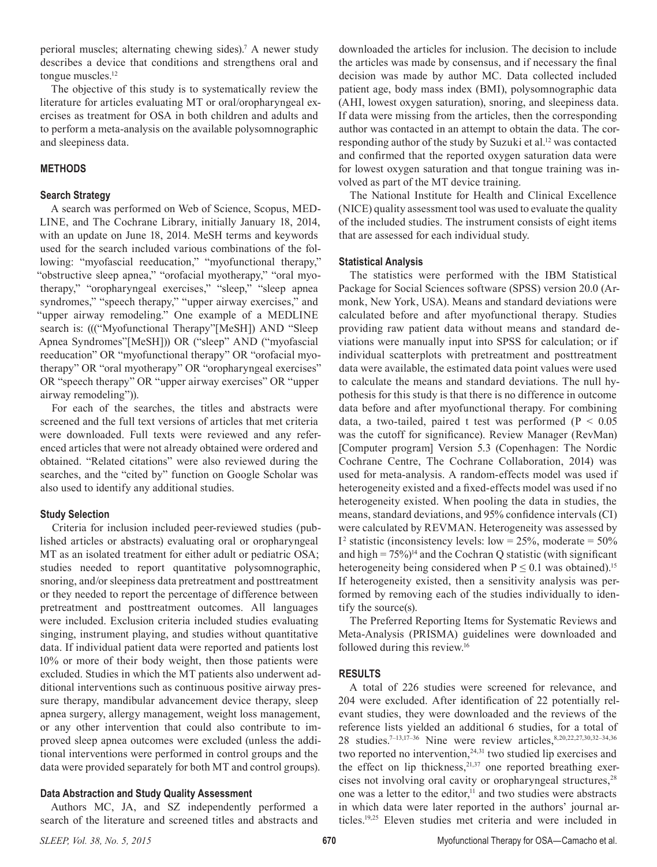perioral muscles; alternating chewing sides).7 A newer study describes a device that conditions and strengthens oral and tongue muscles.<sup>12</sup>

The objective of this study is to systematically review the literature for articles evaluating MT or oral/oropharyngeal exercises as treatment for OSA in both children and adults and to perform a meta-analysis on the available polysomnographic and sleepiness data.

## **METHODS**

## **Search Strategy**

A search was performed on Web of Science, Scopus, MED-LINE, and The Cochrane Library, initially January 18, 2014, with an update on June 18, 2014. MeSH terms and keywords used for the search included various combinations of the following: "myofascial reeducation," "myofunctional therapy," "obstructive sleep apnea," "orofacial myotherapy," "oral myotherapy," "oropharyngeal exercises," "sleep," "sleep apnea syndromes," "speech therapy," "upper airway exercises," and "upper airway remodeling." One example of a MEDLINE search is: ((("Myofunctional Therapy"[MeSH]) AND "Sleep Apnea Syndromes"[MeSH])) OR ("sleep" AND ("myofascial reeducation" OR "myofunctional therapy" OR "orofacial myotherapy" OR "oral myotherapy" OR "oropharyngeal exercises" OR "speech therapy" OR "upper airway exercises" OR "upper airway remodeling")).

For each of the searches, the titles and abstracts were screened and the full text versions of articles that met criteria were downloaded. Full texts were reviewed and any referenced articles that were not already obtained were ordered and obtained. "Related citations" were also reviewed during the searches, and the "cited by" function on Google Scholar was also used to identify any additional studies.

# **Study Selection**

Criteria for inclusion included peer-reviewed studies (published articles or abstracts) evaluating oral or oropharyngeal MT as an isolated treatment for either adult or pediatric OSA; studies needed to report quantitative polysomnographic, snoring, and/or sleepiness data pretreatment and posttreatment or they needed to report the percentage of difference between pretreatment and posttreatment outcomes. All languages were included. Exclusion criteria included studies evaluating singing, instrument playing, and studies without quantitative data. If individual patient data were reported and patients lost 10% or more of their body weight, then those patients were excluded. Studies in which the MT patients also underwent additional interventions such as continuous positive airway pressure therapy, mandibular advancement device therapy, sleep apnea surgery, allergy management, weight loss management, or any other intervention that could also contribute to improved sleep apnea outcomes were excluded (unless the additional interventions were performed in control groups and the data were provided separately for both MT and control groups).

# **Data Abstraction and Study Quality Assessment**

Authors MC, JA, and SZ independently performed a search of the literature and screened titles and abstracts and

downloaded the articles for inclusion. The decision to include the articles was made by consensus, and if necessary the final decision was made by author MC. Data collected included patient age, body mass index (BMI), polysomnographic data (AHI, lowest oxygen saturation), snoring, and sleepiness data. If data were missing from the articles, then the corresponding author was contacted in an attempt to obtain the data. The corresponding author of the study by Suzuki et al.<sup>12</sup> was contacted and confirmed that the reported oxygen saturation data were for lowest oxygen saturation and that tongue training was involved as part of the MT device training.

The National Institute for Health and Clinical Excellence (NICE) quality assessment tool was used to evaluate the quality of the included studies. The instrument consists of eight items that are assessed for each individual study.

# **Statistical Analysis**

The statistics were performed with the IBM Statistical Package for Social Sciences software (SPSS) version 20.0 (Armonk, New York, USA). Means and standard deviations were calculated before and after myofunctional therapy. Studies providing raw patient data without means and standard deviations were manually input into SPSS for calculation; or if individual scatterplots with pretreatment and posttreatment data were available, the estimated data point values were used to calculate the means and standard deviations. The null hypothesis for this study is that there is no difference in outcome data before and after myofunctional therapy. For combining data, a two-tailed, paired t test was performed ( $P < 0.05$ ) was the cutoff for significance). Review Manager (RevMan) [Computer program] Version 5.3 (Copenhagen: The Nordic Cochrane Centre, The Cochrane Collaboration, 2014) was used for meta-analysis. A random-effects model was used if heterogeneity existed and a fixed-effects model was used if no heterogeneity existed. When pooling the data in studies, the means, standard deviations, and 95% confidence intervals (CI) were calculated by REVMAN. Heterogeneity was assessed by  $I<sup>2</sup>$  statistic (inconsistency levels: low = 25%, moderate = 50% and high =  $75\%$ <sup>14</sup> and the Cochran Q statistic (with significant heterogeneity being considered when  $P \le 0.1$  was obtained).<sup>15</sup> If heterogeneity existed, then a sensitivity analysis was performed by removing each of the studies individually to identify the source(s).

The Preferred Reporting Items for Systematic Reviews and Meta-Analysis (PRISMA) guidelines were downloaded and followed during this review.16

## **RESULTS**

A total of 226 studies were screened for relevance, and 204 were excluded. After identification of 22 potentially relevant studies, they were downloaded and the reviews of the reference lists yielded an additional 6 studies, for a total of 28 studies.<sup>7-13,17-36</sup> Nine were review articles,<sup>8,20,22,27,30,32-34,36</sup> two reported no intervention, $24,31$  two studied lip exercises and the effect on lip thickness,  $21,37$  one reported breathing exercises not involving oral cavity or oropharyngeal structures,<sup>28</sup> one was a letter to the editor,<sup>11</sup> and two studies were abstracts in which data were later reported in the authors' journal articles.19,25 Eleven studies met criteria and were included in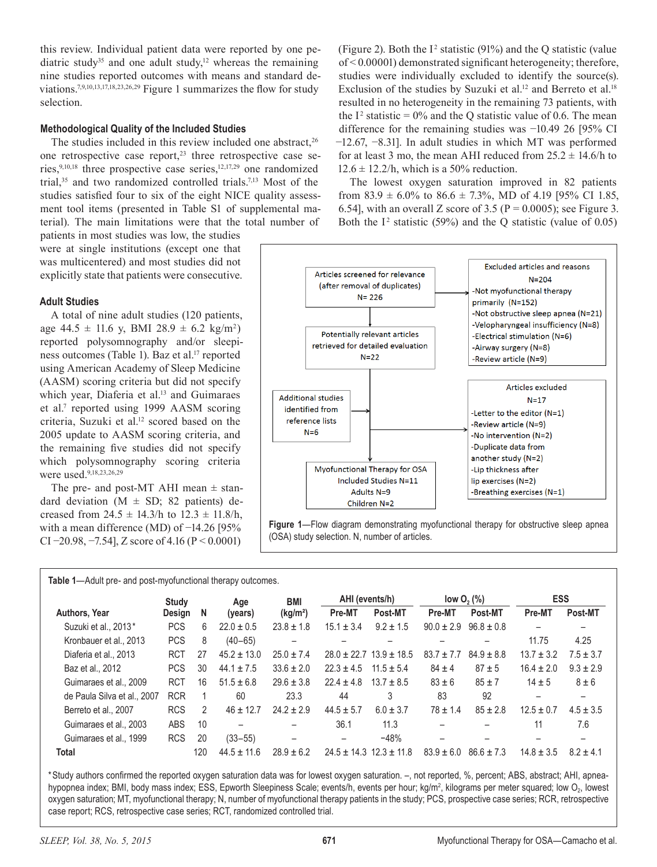this review. Individual patient data were reported by one pediatric study<sup>35</sup> and one adult study,<sup>12</sup> whereas the remaining nine studies reported outcomes with means and standard deviations.7,9,10,13,17,18,23,26,29 Figure 1 summarizes the flow for study selection.

## **Methodological Quality of the Included Studies**

The studies included in this review included one abstract, $26$ one retrospective case report, $23$  three retrospective case series,  $9,10,18$  three prospective case series,  $12,17,29$  one randomized trial,<sup>35</sup> and two randomized controlled trials.<sup>7,13</sup> Most of the studies satisfied four to six of the eight NICE quality assessment tool items (presented in Table S1 of supplemental material). The main limitations were that the total number of

patients in most studies was low, the studies were at single institutions (except one that was multicentered) and most studies did not explicitly state that patients were consecutive.

## **Adult Studies**

A total of nine adult studies (120 patients, age  $44.5 \pm 11.6$  y, BMI  $28.9 \pm 6.2$  kg/m<sup>2</sup>) reported polysomnography and/or sleepiness outcomes (Table 1). Baz et al.<sup>17</sup> reported using American Academy of Sleep Medicine (AASM) scoring criteria but did not specify which year, Diaferia et al.<sup>13</sup> and Guimaraes et al.<sup>7</sup> reported using 1999 AASM scoring criteria, Suzuki et al.<sup>12</sup> scored based on the 2005 update to AASM scoring criteria, and the remaining five studies did not specify which polysomnography scoring criteria were used.<sup>9,18,23,26,29</sup>

The pre- and post-MT AHI mean  $\pm$  standard deviation  $(M \pm SD; 82$  patients) decreased from  $24.5 \pm 14.3/h$  to  $12.3 \pm 11.8/h$ , with a mean difference (MD) of −14.26 [95% CI  $-20.98$ ,  $-7.54$ ], Z score of 4.16 (P < 0.0001)

(Figure 2). Both the  $I^2$  statistic (91%) and the Q statistic (value of < 0.00001) demonstrated significant heterogeneity; therefore, studies were individually excluded to identify the source(s). Exclusion of the studies by Suzuki et al.<sup>12</sup> and Berreto et al.<sup>18</sup> resulted in no heterogeneity in the remaining 73 patients, with the  $I^2$  statistic = 0% and the Q statistic value of 0.6. The mean difference for the remaining studies was −10.49 26 [95% CI −12.67, −8.31]. In adult studies in which MT was performed for at least 3 mo, the mean AHI reduced from  $25.2 \pm 14.6/h$  to  $12.6 \pm 12.2$ /h, which is a 50% reduction.

The lowest oxygen saturation improved in 82 patients from  $83.9 \pm 6.0\%$  to  $86.6 \pm 7.3\%$ , MD of 4.19 [95% CI 1.85, 6.54], with an overall Z score of 3.5 ( $P = 0.0005$ ); see Figure 3. Both the  $I^2$  statistic (59%) and the Q statistic (value of 0.05)



**Figure 1**—Flow diagram demonstrating myofunctional therapy for obstructive sleep apnea (OSA) study selection. N, number of articles.

**Table 1**—Adult pre- and post-myofunctional therapy outcomes.

|                             | Study      |               | Age             | BMI                      | AHI (events/h)           |                                 |                | low $O_2$ (%)  | <b>ESS</b>     |               |  |
|-----------------------------|------------|---------------|-----------------|--------------------------|--------------------------|---------------------------------|----------------|----------------|----------------|---------------|--|
| Authors, Year               | Design     | N             | (years)         | (kg/m <sup>2</sup> )     | Pre-MT                   | Post-MT                         | Pre-MT         | Post-MT        | Pre-MT         | Post-MT       |  |
| Suzuki et al., 2013*        | <b>PCS</b> | 6             | $22.0 \pm 0.5$  | $23.8 \pm 1.8$           | $15.1 \pm 3.4$           | $9.2 + 1.5$                     | $90.0 \pm 2.9$ | $96.8 \pm 0.8$ |                |               |  |
| Kronbauer et al., 2013      | <b>PCS</b> | 8             | $(40 - 65)$     | $\qquad \qquad -$        |                          |                                 |                | -              | 11.75          | 4.25          |  |
| Diaferia et al., 2013       | <b>RCT</b> | 27            | $45.2 \pm 13.0$ | $25.0 \pm 7.4$           |                          | $28.0 \pm 22.7$ 13.9 $\pm$ 18.5 | $83.7 \pm 7.7$ | $84.9 \pm 8.8$ | $13.7 \pm 3.2$ | $7.5 \pm 3.7$ |  |
| Baz et al., 2012            | <b>PCS</b> | 30            | $44.1 \pm 7.5$  | $33.6 \pm 2.0$           | $22.3 \pm 4.5$           | $11.5 \pm 5.4$                  | $84 \pm 4$     | $87 + 5$       | $16.4 \pm 2.0$ | $9.3 \pm 2.9$ |  |
| Guimaraes et al., 2009      | <b>RCT</b> | 16            | $51.5 \pm 6.8$  | $29.6 \pm 3.8$           | $22.4 + 4.8$             | $13.7 + 8.5$                    | $83 + 6$       | $85 + 7$       | $14 \pm 5$     | $8 \pm 6$     |  |
| de Paula Silva et al., 2007 | <b>RCR</b> |               | 60              | 23.3                     | 44                       | 3                               | 83             | 92             |                |               |  |
| Berreto et al., 2007        | <b>RCS</b> | $\mathcal{P}$ | $46 \pm 12.7$   | $24.2 \pm 2.9$           | $44.5 \pm 5.7$           | $6.0 \pm 3.7$                   | $78 \pm 1.4$   | $85 \pm 2.8$   | $12.5 \pm 0.7$ | $4.5 \pm 3.5$ |  |
| Guimaraes et al., 2003      | ABS        | 10            |                 | $\overline{\phantom{0}}$ | 36.1                     | 11.3                            |                |                | 11             | 7.6           |  |
| Guimaraes et al., 1999      | <b>RCS</b> | 20            | $(33 - 55)$     | $\overline{\phantom{0}}$ | $\overline{\phantom{0}}$ | $-48%$                          | -              |                |                |               |  |
| <b>Total</b>                |            | 120           | $44.5 + 11.6$   | $28.9 + 6.2$             |                          | $24.5 + 14.3$ $12.3 + 11.8$     | $83.9 \pm 6.0$ | $86.6 + 7.3$   | $14.8 + 3.5$   | $8.2 + 4.1$   |  |

\*Study authors confirmed the reported oxygen saturation data was for lowest oxygen saturation. –, not reported, %, percent; ABS, abstract; AHI, apneahypopnea index; BMI, body mass index; ESS, Epworth Sleepiness Scale; events/h, events per hour; kg/m², kilograms per meter squared; low O<sub>2</sub>, lowest oxygen saturation; MT, myofunctional therapy; N, number of myofunctional therapy patients in the study; PCS, prospective case series; RCR, retrospective case report; RCS, retrospective case series; RCT, randomized controlled trial.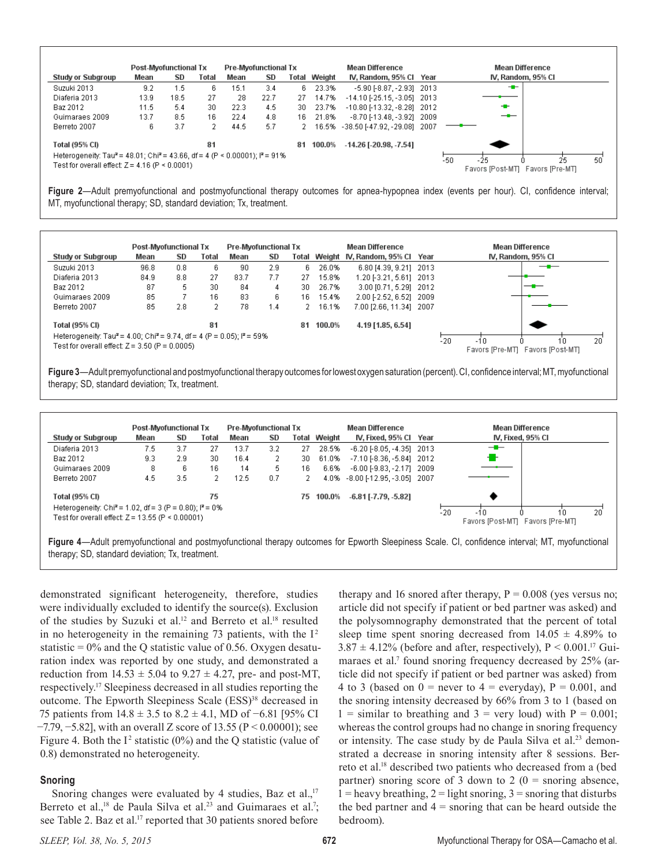

**Figure 2**—Adult premyofunctional and postmyofunctional therapy outcomes for apnea-hypopnea index (events per hour). CI, confidence interval; MT, myofunctional therapy; SD, standard deviation; Tx, treatment.

|                                                                                                | <b>Post-Myofunctional Tx</b> |     |       | <b>Pre-Myofunctional Tx</b> |     |       |        | <b>Mean Difference</b>         |     | <b>Mean Difference</b>                          |
|------------------------------------------------------------------------------------------------|------------------------------|-----|-------|-----------------------------|-----|-------|--------|--------------------------------|-----|-------------------------------------------------|
| Study or Subgroup                                                                              | Mean                         | SD  | Total | Mean                        | SD  | Total |        | Weight IV, Random, 95% Cl Year |     | IV, Random, 95% CI                              |
| Suzuki 2013                                                                                    | 96.8                         | 0.8 | 6     | 90                          | 2.9 | 6.    | 26.0%  | 6.80 [4.39, 9.21] 2013         |     | —                                               |
| Diaferia 2013                                                                                  | 84.9                         | 8.8 | 27    | 83.7                        | 7.7 | 27    | 15.8%  | 1.20 [-3.21, 5.61] 2013        |     |                                                 |
| Baz 2012                                                                                       | 87                           | 5   | 30    | 84                          | 4   | 30.   | 26.7%  | 3.00 [0.71, 5.29] 2012         |     |                                                 |
| Guimaraes 2009                                                                                 | 85                           |     | 16    | 83                          | 6.  | 16    | 15.4%  | 2.00 [-2.52, 6.52] 2009        |     |                                                 |
| Berreto 2007                                                                                   | 85                           | 2.8 | 2     | 78                          | 1.4 | 2     | 16.1%  | 7.00 [2.66, 11.34] 2007        |     |                                                 |
| Total (95% CI)                                                                                 |                              |     | 81    |                             |     | 81    | 100.0% | 4.19 [1.85, 6.54]              |     |                                                 |
| Heterogeneity: Tau <sup>2</sup> = 4.00; Chi <sup>2</sup> = 9.74, df = 4 (P = 0.05); $P = 59\%$ |                              |     |       |                             |     |       |        |                                |     | 20                                              |
| Test for overall effect: Z = 3.50 (P = 0.0005).                                                |                              |     |       |                             |     |       |        |                                | -20 | $-10$<br>10<br>Favors [Pre-MT] Favors [Post-MT] |

**Figure 3**—Adult premyofunctional and postmyofunctional therapy outcomes for lowest oxygen saturation (percent). CI, confidence interval; MT, myofunctional therapy; SD, standard deviation; Tx, treatment.

| <b>Post-Myofunctional Tx</b>                                         |      |     | <b>Pre-Myofunctional Tx</b> |      |     |       | Mean Difference |                                    | <b>Mean Difference</b> |                                  |  |  |  |  |
|----------------------------------------------------------------------|------|-----|-----------------------------|------|-----|-------|-----------------|------------------------------------|------------------------|----------------------------------|--|--|--|--|
| Study or Subgroup                                                    | Mean | SD  | Total                       | Mean | SD  | Total | Weight          | IV, Fixed, 95% Cl Year             |                        | IV, Fixed, 95% CI                |  |  |  |  |
| Diaferia 2013                                                        | 7.5  | 3.7 | 27                          | 13.7 | 3.2 | 27    | 28.5%           | $-6.20$ $[-8.05, -4.35]$ 2013      |                        | --                               |  |  |  |  |
| Baz 2012                                                             | 9.3  | 2.9 | 30                          | 16.4 | 2   | 30    | 61.0%           | $-7.10$ [ $-8.36$ , $-5.84$ ] 2012 |                        |                                  |  |  |  |  |
| Guimaraes 2009                                                       | 8    | 6   | 16                          | 14   | 5   | 16    | 6.6%            | $-6.00$ [ $-9.83$ , $-2.17$ ] 2009 |                        |                                  |  |  |  |  |
| Berreto 2007                                                         | 4.5  | 3.5 | 2.                          | 12.5 | 0.7 |       |                 | 4.0% -8.00 [-12.95, -3.05] 2007    |                        |                                  |  |  |  |  |
| Total (95% CI)                                                       |      |     | 75                          |      |     | 75    | 100.0%          | $-6.81$ [-7.79, -5.82]             |                        |                                  |  |  |  |  |
| Heterogeneity: Chi <sup>2</sup> = 1.02, df = 3 (P = 0.80); $P = 0\%$ |      |     |                             |      |     |       |                 |                                    | $-20$                  | 20<br>$-10$<br>۱0                |  |  |  |  |
| Test for overall effect: $Z = 13.55$ (P < 0.00001)                   |      |     |                             |      |     |       |                 |                                    |                        | Favors [Post-MT] Favors [Pre-MT] |  |  |  |  |

**Figure 4**—Adult premyofunctional and postmyofunctional therapy outcomes for Epworth Sleepiness Scale. CI, confidence interval; MT, myofunctional therapy; SD, standard deviation; Tx, treatment.

demonstrated significant heterogeneity, therefore, studies were individually excluded to identify the source(s). Exclusion of the studies by Suzuki et al.<sup>12</sup> and Berreto et al.<sup>18</sup> resulted in no heterogeneity in the remaining 73 patients, with the  $I^2$ statistic  $= 0\%$  and the Q statistic value of 0.56. Oxygen desaturation index was reported by one study, and demonstrated a reduction from  $14.53 \pm 5.04$  to  $9.27 \pm 4.27$ , pre- and post-MT, respectively.17 Sleepiness decreased in all studies reporting the outcome. The Epworth Sleepiness Scale (ESS)<sup>38</sup> decreased in 75 patients from 14.8 ± 3.5 to 8.2 ± 4.1, MD of −6.81 [95% CI −7.79, −5.82], with an overall Z score of 13.55 (P < 0.00001); see Figure 4. Both the  $I^2$  statistic (0%) and the Q statistic (value of 0.8) demonstrated no heterogeneity.

#### **Snoring**

Snoring changes were evaluated by 4 studies, Baz et al., $17$ Berreto et al.,<sup>18</sup> de Paula Silva et al.<sup>23</sup> and Guimaraes et al.<sup>7</sup>; see Table 2. Baz et al.<sup>17</sup> reported that 30 patients snored before

therapy and 16 snored after therapy,  $P = 0.008$  (yes versus no; article did not specify if patient or bed partner was asked) and the polysomnography demonstrated that the percent of total sleep time spent snoring decreased from  $14.05 \pm 4.89\%$  to  $3.87 \pm 4.12\%$  (before and after, respectively), P < 0.001.<sup>17</sup> Guimaraes et al.<sup>7</sup> found snoring frequency decreased by 25% (article did not specify if patient or bed partner was asked) from 4 to 3 (based on  $0 =$  never to  $4 =$  everyday),  $P = 0.001$ , and the snoring intensity decreased by 66% from 3 to 1 (based on  $1 =$  similar to breathing and  $3 =$  very loud) with  $P = 0.001$ ; whereas the control groups had no change in snoring frequency or intensity. The case study by de Paula Silva et al.<sup>23</sup> demonstrated a decrease in snoring intensity after 8 sessions. Berreto et al.18 described two patients who decreased from a (bed partner) snoring score of 3 down to 2 ( $0 =$  snoring absence,  $1 =$  heavy breathing,  $2 =$  light snoring,  $3 =$  snoring that disturbs the bed partner and  $4 =$  snoring that can be heard outside the bedroom).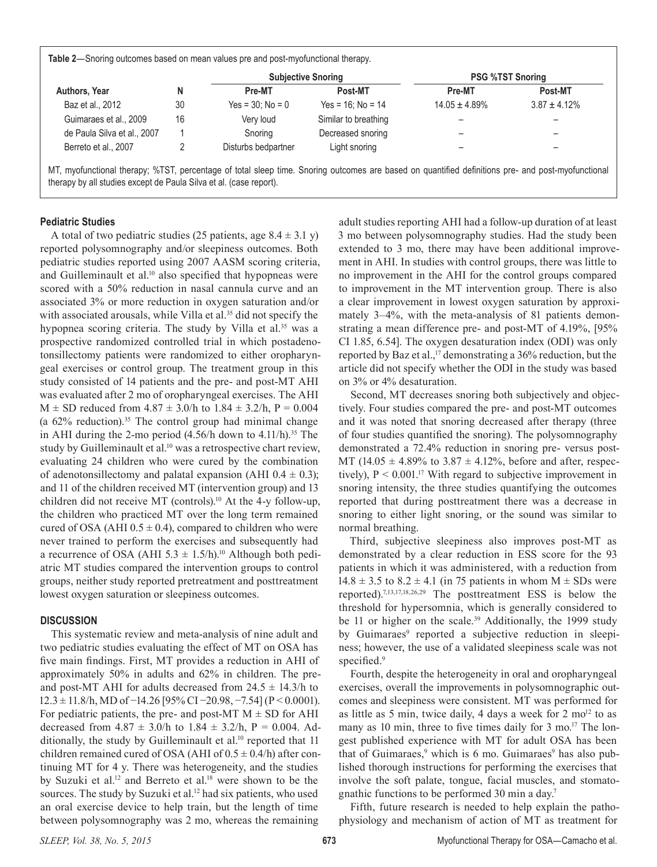| <b>Table 2</b> —Snoring outcomes based on mean values pre and post-myofunctional therapy. |  |  |
|-------------------------------------------------------------------------------------------|--|--|
|-------------------------------------------------------------------------------------------|--|--|

|                             |    |                     | <b>Subjective Snoring</b> |                    | <b>PSG %TST Snoring</b> |
|-----------------------------|----|---------------------|---------------------------|--------------------|-------------------------|
| Authors, Year               |    | Pre-MT              | Post-MT                   | Pre-MT             | <b>Post-MT</b>          |
| Baz et al., 2012            | 30 | $Yes = 30: No = 0$  | $Yes = 16: No = 14$       | $14.05 \pm 4.89\%$ | $3.87 \pm 4.12\%$       |
| Guimaraes et al., 2009      | 16 | Very loud           | Similar to breathing      |                    |                         |
| de Paula Silva et al., 2007 |    | Snoring             | Decreased snoring         |                    |                         |
| Berreto et al., 2007        |    | Disturbs bedpartner | Light snoring             |                    | -                       |

MT, myofunctional therapy; %TST, percentage of total sleep time. Snoring outcomes are based on quantified definitions pre- and post-myofunctional therapy by all studies except de Paula Silva et al. (case report).

#### **Pediatric Studies**

A total of two pediatric studies (25 patients, age  $8.4 \pm 3.1$  y) reported polysomnography and/or sleepiness outcomes. Both pediatric studies reported using 2007 AASM scoring criteria, and Guilleminault et al.<sup>10</sup> also specified that hypopneas were scored with a 50% reduction in nasal cannula curve and an associated 3% or more reduction in oxygen saturation and/or with associated arousals, while Villa et al.<sup>35</sup> did not specify the hypopnea scoring criteria. The study by Villa et al.<sup>35</sup> was a prospective randomized controlled trial in which postadenotonsillectomy patients were randomized to either oropharyngeal exercises or control group. The treatment group in this study consisted of 14 patients and the pre- and post-MT AHI was evaluated after 2 mo of oropharyngeal exercises. The AHI  $M \pm SD$  reduced from  $4.87 \pm 3.0/h$  to  $1.84 \pm 3.2/h$ ,  $P = 0.004$ (a  $62\%$  reduction).<sup>35</sup> The control group had minimal change in AHI during the 2-mo period  $(4.56/h$  down to  $4.11/h$ ).<sup>35</sup> The study by Guilleminault et al.<sup>10</sup> was a retrospective chart review, evaluating 24 children who were cured by the combination of adenotonsillectomy and palatal expansion (AHI  $0.4 \pm 0.3$ ); and 11 of the children received MT (intervention group) and 13 children did not receive MT (controls).10 At the 4-y follow-up, the children who practiced MT over the long term remained cured of OSA (AHI  $0.5 \pm 0.4$ ), compared to children who were never trained to perform the exercises and subsequently had a recurrence of OSA (AHI 5.3  $\pm$  1.5/h).<sup>10</sup> Although both pediatric MT studies compared the intervention groups to control groups, neither study reported pretreatment and posttreatment lowest oxygen saturation or sleepiness outcomes.

#### **DISCUSSION**

This systematic review and meta-analysis of nine adult and two pediatric studies evaluating the effect of MT on OSA has five main findings. First, MT provides a reduction in AHI of approximately 50% in adults and 62% in children. The preand post-MT AHI for adults decreased from  $24.5 \pm 14.3/h$  to 12.3 ± 11.8/h, MD of −14.26 [95% CI −20.98, −7.54] (P < 0.0001). For pediatric patients, the pre- and post-MT  $M \pm SD$  for AHI decreased from  $4.87 \pm 3.0/h$  to  $1.84 \pm 3.2/h$ , P = 0.004. Additionally, the study by Guilleminault et al.<sup>10</sup> reported that 11 children remained cured of OSA (AHI of  $0.5 \pm 0.4/h$ ) after continuing MT for 4 y. There was heterogeneity, and the studies by Suzuki et al.<sup>12</sup> and Berreto et al.<sup>18</sup> were shown to be the sources. The study by Suzuki et al.<sup>12</sup> had six patients, who used an oral exercise device to help train, but the length of time between polysomnography was 2 mo, whereas the remaining

adult studies reporting AHI had a follow-up duration of at least 3 mo between polysomnography studies. Had the study been extended to 3 mo, there may have been additional improvement in AHI. In studies with control groups, there was little to no improvement in the AHI for the control groups compared to improvement in the MT intervention group. There is also a clear improvement in lowest oxygen saturation by approximately 3–4%, with the meta-analysis of 81 patients demonstrating a mean difference pre- and post-MT of 4.19%, [95% CI 1.85, 6.54]. The oxygen desaturation index (ODI) was only reported by Baz et al.,<sup>17</sup> demonstrating a 36% reduction, but the article did not specify whether the ODI in the study was based on 3% or 4% desaturation.

Second, MT decreases snoring both subjectively and objectively. Four studies compared the pre- and post-MT outcomes and it was noted that snoring decreased after therapy (three of four studies quantified the snoring). The polysomnography demonstrated a 72.4% reduction in snoring pre- versus post-MT (14.05  $\pm$  4.89% to 3.87  $\pm$  4.12%, before and after, respectively),  $P < 0.001$ .<sup>17</sup> With regard to subjective improvement in snoring intensity, the three studies quantifying the outcomes reported that during posttreatment there was a decrease in snoring to either light snoring, or the sound was similar to normal breathing.

Third, subjective sleepiness also improves post-MT as demonstrated by a clear reduction in ESS score for the 93 patients in which it was administered, with a reduction from  $14.8 \pm 3.5$  to  $8.2 \pm 4.1$  (in 75 patients in whom M  $\pm$  SDs were reported).7,13,17,18,26,29 The posttreatment ESS is below the threshold for hypersomnia, which is generally considered to be 11 or higher on the scale.<sup>39</sup> Additionally, the 1999 study by Guimaraes<sup>9</sup> reported a subjective reduction in sleepiness; however, the use of a validated sleepiness scale was not specified.<sup>9</sup>

Fourth, despite the heterogeneity in oral and oropharyngeal exercises, overall the improvements in polysomnographic outcomes and sleepiness were consistent. MT was performed for as little as 5 min, twice daily, 4 days a week for  $2 \text{ mo}^{12}$  to as many as 10 min, three to five times daily for 3 mo.<sup>17</sup> The longest published experience with MT for adult OSA has been that of Guimaraes,<sup>9</sup> which is 6 mo. Guimaraes<sup>9</sup> has also published thorough instructions for performing the exercises that involve the soft palate, tongue, facial muscles, and stomatognathic functions to be performed 30 min a day.7

Fifth, future research is needed to help explain the pathophysiology and mechanism of action of MT as treatment for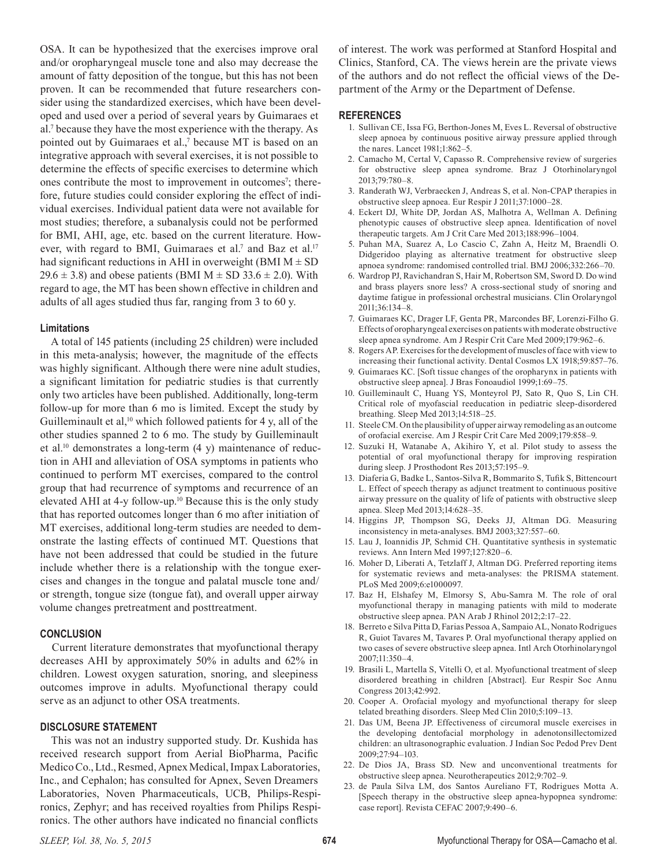OSA. It can be hypothesized that the exercises improve oral and/or oropharyngeal muscle tone and also may decrease the amount of fatty deposition of the tongue, but this has not been proven. It can be recommended that future researchers consider using the standardized exercises, which have been developed and used over a period of several years by Guimaraes et al.7 because they have the most experience with the therapy. As pointed out by Guimaraes et al.,<sup>7</sup> because MT is based on an integrative approach with several exercises, it is not possible to determine the effects of specific exercises to determine which ones contribute the most to improvement in outcomes<sup>7</sup>; therefore, future studies could consider exploring the effect of individual exercises. Individual patient data were not available for most studies; therefore, a subanalysis could not be performed for BMI, AHI, age, etc. based on the current literature. However, with regard to BMI, Guimaraes et al.<sup>7</sup> and Baz et al.<sup>17</sup> had significant reductions in AHI in overweight (BMI  $M \pm SD$ )  $29.6 \pm 3.8$ ) and obese patients (BMI M  $\pm$  SD 33.6  $\pm$  2.0). With regard to age, the MT has been shown effective in children and adults of all ages studied thus far, ranging from 3 to 60 y.

#### **Limitations**

A total of 145 patients (including 25 children) were included in this meta-analysis; however, the magnitude of the effects was highly significant. Although there were nine adult studies, a significant limitation for pediatric studies is that currently only two articles have been published. Additionally, long-term follow-up for more than 6 mo is limited. Except the study by Guilleminault et al,<sup>10</sup> which followed patients for 4 y, all of the other studies spanned 2 to 6 mo. The study by Guilleminault et al.<sup>10</sup> demonstrates a long-term (4 y) maintenance of reduction in AHI and alleviation of OSA symptoms in patients who continued to perform MT exercises, compared to the control group that had recurrence of symptoms and recurrence of an elevated AHI at 4-y follow-up.10 Because this is the only study that has reported outcomes longer than 6 mo after initiation of MT exercises, additional long-term studies are needed to demonstrate the lasting effects of continued MT. Questions that have not been addressed that could be studied in the future include whether there is a relationship with the tongue exercises and changes in the tongue and palatal muscle tone and/ or strength, tongue size (tongue fat), and overall upper airway volume changes pretreatment and posttreatment.

#### **CONCLUSION**

Current literature demonstrates that myofunctional therapy decreases AHI by approximately 50% in adults and 62% in children. Lowest oxygen saturation, snoring, and sleepiness outcomes improve in adults. Myofunctional therapy could serve as an adjunct to other OSA treatments.

# **DISCLOSURE STATEMENT**

This was not an industry supported study. Dr. Kushida has received research support from Aerial BioPharma, Pacific Medico Co., Ltd., Resmed, Apnex Medical, Impax Laboratories, Inc., and Cephalon; has consulted for Apnex, Seven Dreamers Laboratories, Noven Pharmaceuticals, UCB, Philips-Respironics, Zephyr; and has received royalties from Philips Respironics. The other authors have indicated no financial conflicts

of interest. The work was performed at Stanford Hospital and Clinics, Stanford, CA. The views herein are the private views of the authors and do not reflect the official views of the Department of the Army or the Department of Defense.

#### **REFERENCES**

- 1. Sullivan CE, Issa FG, Berthon-Jones M, Eves L. Reversal of obstructive sleep apnoea by continuous positive airway pressure applied through the nares. Lancet 1981;1:862–5.
- 2. Camacho M, Certal V, Capasso R. Comprehensive review of surgeries for obstructive sleep apnea syndrome. Braz J Otorhinolaryngol 2013;79:780–8.
- 3. Randerath WJ, Verbraecken J, Andreas S, et al. Non-CPAP therapies in obstructive sleep apnoea. Eur Respir J 2011;37:1000–28.
- 4. Eckert DJ, White DP, Jordan AS, Malhotra A, Wellman A. Defining phenotypic causes of obstructive sleep apnea. Identification of novel therapeutic targets. Am J Crit Care Med 2013;188:996–1004.
- 5. Puhan MA, Suarez A, Lo Cascio C, Zahn A, Heitz M, Braendli O. Didgeridoo playing as alternative treatment for obstructive sleep apnoea syndrome: randomised controlled trial. BMJ 2006;332:266–70.
- 6. Wardrop PJ, Ravichandran S, Hair M, Robertson SM, Sword D. Do wind and brass players snore less? A cross-sectional study of snoring and daytime fatigue in professional orchestral musicians. Clin Orolaryngol 2011;36:134–8.
- 7. Guimaraes KC, Drager LF, Genta PR, Marcondes BF, Lorenzi-Filho G. Effects of oropharyngeal exercises on patients with moderate obstructive sleep apnea syndrome. Am J Respir Crit Care Med 2009;179:962–6.
- 8. Rogers AP. Exercises for the development of muscles of face with view to increasing their functional activity. Dental Cosmos LX 1918;59:857–76.
- 9. Guimaraes KC. [Soft tissue changes of the oropharynx in patients with obstructive sleep apnea]. J Bras Fonoaudiol 1999;1:69–75.
- 10. Guilleminault C, Huang YS, Monteyrol PJ, Sato R, Quo S, Lin CH. Critical role of myofascial reeducation in pediatric sleep-disordered breathing. Sleep Med 2013;14:518–25.
- 11. Steele CM. On the plausibility of upper airway remodeling as an outcome of orofacial exercise. Am J Respir Crit Care Med 2009;179:858–9.
- 12. Suzuki H, Watanabe A, Akihiro Y, et al. Pilot study to assess the potential of oral myofunctional therapy for improving respiration during sleep. J Prosthodont Res 2013;57:195–9.
- 13. Diaferia G, Badke L, Santos-Silva R, Bommarito S, Tufik S, Bittencourt L. Effect of speech therapy as adjunct treatment to continuous positive airway pressure on the quality of life of patients with obstructive sleep apnea. Sleep Med 2013;14:628–35.
- 14. Higgins JP, Thompson SG, Deeks JJ, Altman DG. Measuring inconsistency in meta-analyses. BMJ 2003;327:557–60.
- 15. Lau J, Ioannidis JP, Schmid CH. Quantitative synthesis in systematic reviews. Ann Intern Med 1997;127:820–6.
- 16. Moher D, Liberati A, Tetzlaff J, Altman DG. Preferred reporting items for systematic reviews and meta-analyses: the PRISMA statement. PLoS Med 2009;6:e1000097.
- 17. Baz H, Elshafey M, Elmorsy S, Abu-Samra M. The role of oral myofunctional therapy in managing patients with mild to moderate obstructive sleep apnea. PAN Arab J Rhinol 2012;2:17–22.
- 18. Berreto e Silva Pitta D, Farias Pessoa A, Sampaio AL, Nonato Rodrigues R, Guiot Tavares M, Tavares P. Oral myofunctional therapy applied on two cases of severe obstructive sleep apnea. Intl Arch Otorhinolaryngol 2007;11:350–4.
- 19. Brasili L, Martella S, Vitelli O, et al. Myofunctional treatment of sleep disordered breathing in children [Abstract]. Eur Respir Soc Annu Congress 2013;42:992.
- 20. Cooper A. Orofacial myology and myofunctional therapy for sleep telated breathing disorders. Sleep Med Clin 2010;5:109–13.
- 21. Das UM, Beena JP. Effectiveness of circumoral muscle exercises in the developing dentofacial morphology in adenotonsillectomized children: an ultrasonographic evaluation. J Indian Soc Pedod Prev Dent 2009;27:94–103.
- 22. De Dios JA, Brass SD. New and unconventional treatments for obstructive sleep apnea. Neurotherapeutics 2012;9:702–9.
- 23. de Paula Silva LM, dos Santos Aureliano FT, Rodrigues Motta A. [Speech therapy in the obstructive sleep apnea-hypopnea syndrome: case report]. Revista CEFAC 2007;9:490–6.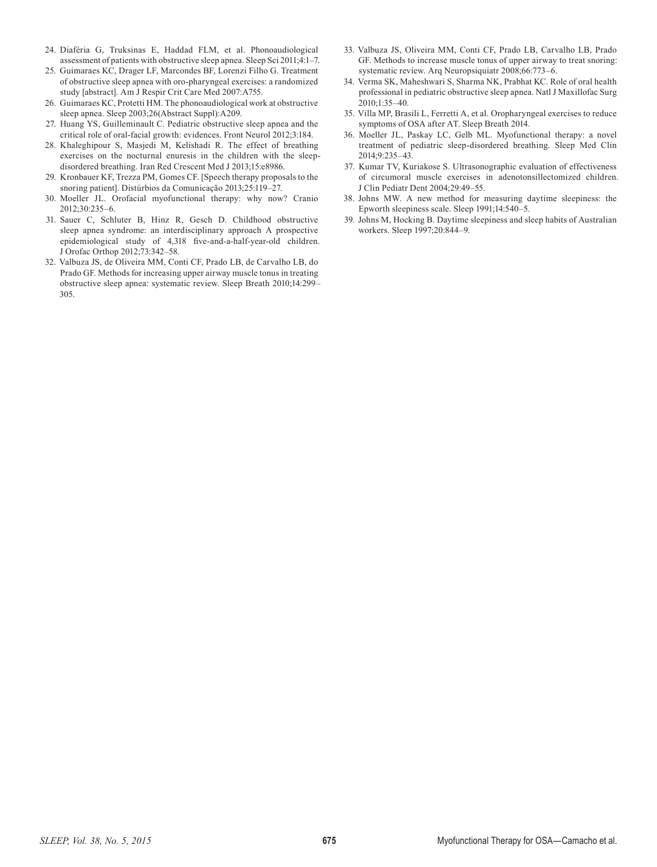- 24. Diaféria G, Truksinas E, Haddad FLM, et al. Phonoaudiological assessment of patients with obstructive sleep apnea. Sleep Sci 2011;4:1–7.
- 25. Guimaraes KC, Drager LF, Marcondes BF, Lorenzi Filho G. Treatment of obstructive sleep apnea with oro-pharyngeal exercises: a randomized study [abstract]. Am J Respir Crit Care Med 2007:A755.
- 26. Guimaraes KC, Protetti HM. The phonoaudiological work at obstructive sleep apnea. Sleep 2003;26(Abstract Suppl):A209.
- 27. Huang YS, Guilleminault C. Pediatric obstructive sleep apnea and the critical role of oral-facial growth: evidences. Front Neurol 2012;3:184.
- 28. Khaleghipour S, Masjedi M, Kelishadi R. The effect of breathing exercises on the nocturnal enuresis in the children with the sleepdisordered breathing. Iran Red Crescent Med J 2013;15:e8986.
- 29. Kronbauer KF, Trezza PM, Gomes CF. [Speech therapy proposals to the snoring patient]. Distúrbios da Comunicação 2013;25:119–27.
- 30. Moeller JL. Orofacial myofunctional therapy: why now? Cranio 2012;30:235–6.
- 31. Sauer C, Schluter B, Hinz R, Gesch D. Childhood obstructive sleep apnea syndrome: an interdisciplinary approach A prospective epidemiological study of 4,318 five-and-a-half-year-old children. J Orofac Orthop 2012;73:342–58.
- 32. Valbuza JS, de Oliveira MM, Conti CF, Prado LB, de Carvalho LB, do Prado GF. Methods for increasing upper airway muscle tonus in treating obstructive sleep apnea: systematic review. Sleep Breath 2010;14:299– 305.
- 33. Valbuza JS, Oliveira MM, Conti CF, Prado LB, Carvalho LB, Prado GF. Methods to increase muscle tonus of upper airway to treat snoring: systematic review. Arq Neuropsiquiatr 2008;66:773–6.
- 34. Verma SK, Maheshwari S, Sharma NK, Prabhat KC. Role of oral health professional in pediatric obstructive sleep apnea. Natl J Maxillofac Surg 2010;1:35–40.
- 35. Villa MP, Brasili L, Ferretti A, et al. Oropharyngeal exercises to reduce symptoms of OSA after AT. Sleep Breath 2014.
- 36. Moeller JL, Paskay LC, Gelb ML. Myofunctional therapy: a novel treatment of pediatric sleep-disordered breathing. Sleep Med Clin 2014;9:235–43.
- 37. Kumar TV, Kuriakose S. Ultrasonographic evaluation of effectiveness of circumoral muscle exercises in adenotonsillectomized children. J Clin Pediatr Dent 2004;29:49–55.
- 38. Johns MW. A new method for measuring daytime sleepiness: the Epworth sleepiness scale. Sleep 1991;14:540–5.
- 39. Johns M, Hocking B. Daytime sleepiness and sleep habits of Australian workers. Sleep 1997;20:844–9.